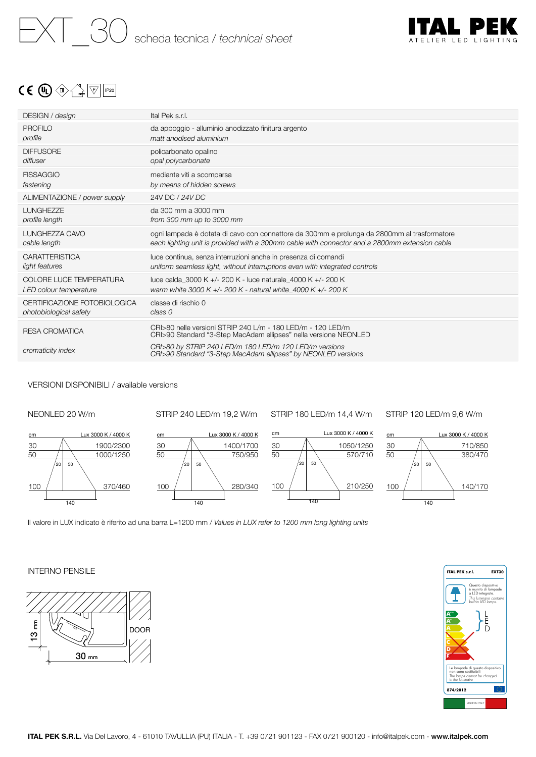

# $C \in \mathbb{Q}$   $\oplus$   $\rightarrow$   $\rightarrow$   $\mathbb{F}$   $\mathbb{F}$   $\mathbb{F}$

| DESIGN / design                | Ital Pek s.r.l.                                                                                                                 |
|--------------------------------|---------------------------------------------------------------------------------------------------------------------------------|
| PROFILO                        | da appoggio - alluminio anodizzato finitura argento                                                                             |
| profile                        | matt anodised aluminium                                                                                                         |
| <b>DIFFUSORE</b>               | policarbonato opalino                                                                                                           |
| diffuser                       | opal polycarbonate                                                                                                              |
| <b>FISSAGGIO</b>               | mediante viti a scomparsa                                                                                                       |
| fastening                      | by means of hidden screws                                                                                                       |
| ALIMENTAZIONE / power supply   | 24V DC / 24V DC                                                                                                                 |
| LUNGHEZZE                      | da 300 mm a 3000 mm                                                                                                             |
| profile length                 | from 300 mm up to 3000 mm                                                                                                       |
| LUNGHEZZA CAVO                 | ogni lampada è dotata di cavo con connettore da 300mm e prolunga da 2800mm al trasformatore                                     |
| cable length                   | each lighting unit is provided with a 300mm cable with connector and a 2800mm extension cable                                   |
| <b>CARATTERISTICA</b>          | luce continua, senza interruzioni anche in presenza di comandi                                                                  |
| light features                 | uniform seamless light, without interruptions even with integrated controls                                                     |
| <b>COLORE LUCE TEMPERATURA</b> | luce calda 3000 K +/- 200 K - luce naturale 4000 K +/- 200 K                                                                    |
| LED colour temperature         | warm white 3000 K +/- 200 K - natural white 4000 K +/- 200 K                                                                    |
| CERTIFICAZIONE FOTOBIOLOGICA   | classe di rischio 0                                                                                                             |
| photobiological safety         | class <sub>0</sub>                                                                                                              |
| RESA CROMATICA                 | CRI>80 nelle versioni STRIP 240 L/m - 180 LED/m - 120 LED/m<br>CRI>90 Standard "3-Step MacAdam ellipses" nella versione NEONLED |
| cromaticity index              | CRI>80 by STRIP 240 LED/m 180 LED/m 120 LED/m versions<br>CRI>90 Standard "3-Step MacAdam ellipses" by NEONLED versions         |
|                                |                                                                                                                                 |

## VERSIONI DISPONIBILI / available versions



STRIP 240 LED/m 19,2 W/m

STRIP 180 LED/m 14,4 W/m

STRIP 120 LED/m 9,6 W/m









Il valore in LUX indicato è riferito ad una barra L=1200 mm / *Values in LUX refer to 1200 mm long lighting units*

# INTERNO PENSILE